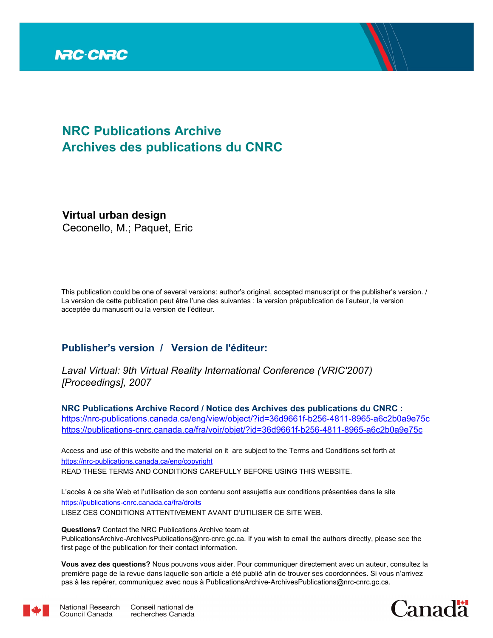

# **NRC Publications Archive Archives des publications du CNRC**

**Virtual urban design** Ceconello, M.; Paquet, Eric

This publication could be one of several versions: author's original, accepted manuscript or the publisher's version. / La version de cette publication peut être l'une des suivantes : la version prépublication de l'auteur, la version acceptée du manuscrit ou la version de l'éditeur.

# **Publisher's version / Version de l'éditeur:**

*Laval Virtual: 9th Virtual Reality International Conference (VRIC'2007) [Proceedings], 2007*

**NRC Publications Archive Record / Notice des Archives des publications du CNRC :** https://nrc-publications.canada.ca/eng/view/object/?id=36d9661f-b256-4811-8965-a6c2b0a9e75c https://publications-cnrc.canada.ca/fra/voir/objet/?id=36d9661f-b256-4811-8965-a6c2b0a9e75c

READ THESE TERMS AND CONDITIONS CAREFULLY BEFORE USING THIS WEBSITE. https://nrc-publications.canada.ca/eng/copyright Access and use of this website and the material on it are subject to the Terms and Conditions set forth at

https://publications-cnrc.canada.ca/fra/droits L'accès à ce site Web et l'utilisation de son contenu sont assujettis aux conditions présentées dans le site LISEZ CES CONDITIONS ATTENTIVEMENT AVANT D'UTILISER CE SITE WEB.

**Questions?** Contact the NRC Publications Archive team at PublicationsArchive-ArchivesPublications@nrc-cnrc.gc.ca. If you wish to email the authors directly, please see the first page of the publication for their contact information.

**Vous avez des questions?** Nous pouvons vous aider. Pour communiquer directement avec un auteur, consultez la première page de la revue dans laquelle son article a été publié afin de trouver ses coordonnées. Si vous n'arrivez pas à les repérer, communiquez avec nous à PublicationsArchive-ArchivesPublications@nrc-cnrc.gc.ca.



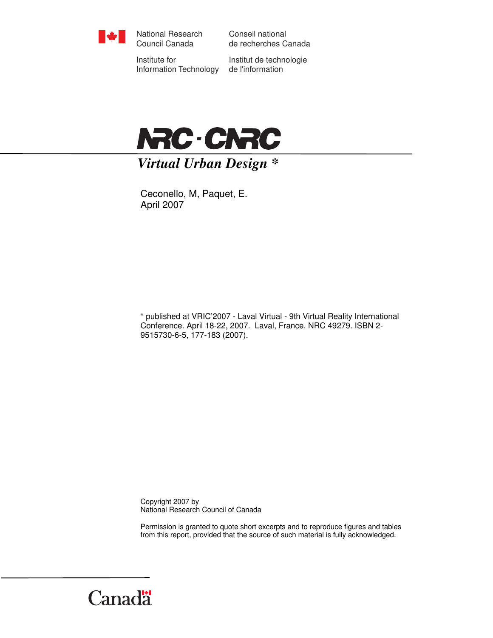

National Research Council Canada

Conseil national de recherches Canada

Institute for Information Technology

Institut de technologie de l'information



# *Virtual Urban Design \**

Ceconello, M, Paquet, E. April 2007

\* published at VRIC'2007 - Laval Virtual - 9th Virtual Reality International Conference. April 18-22, 2007. Laval, France. NRC 49279. ISBN 2- 9515730-6-5, 177-183 (2007).

Copyright 2007 by National Research Council of Canada

Permission is granted to quote short excerpts and to reproduce figures and tables from this report, provided that the source of such material is fully acknowledged.

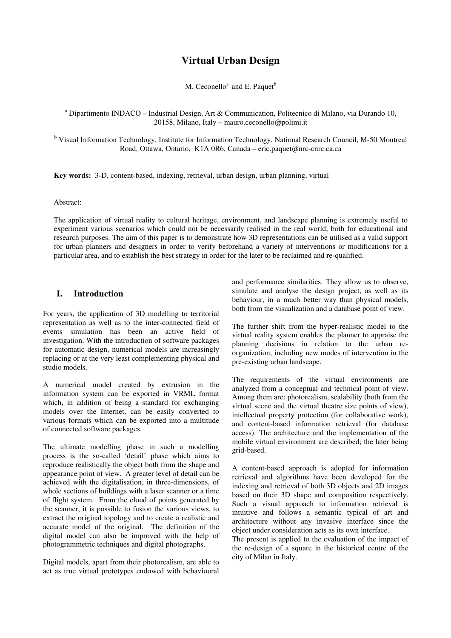## **Virtual Urban Design**

M. Ceconello<sup>a</sup> and E. Paquet<sup>b</sup>

<sup>a</sup> Dipartimento INDACO - Industrial Design, Art & Communication, Politecnico di Milano, via Durando 10, 20158, Milano, Italy – mauro.ceconello@polimi.it

<sup>b</sup> Visual Information Technology, Institute for Information Technology, National Research Council, M-50 Montreal Road, Ottawa, Ontario, K1A 0R6, Canada – eric.paquet@nrc-cnrc.ca.ca

**Key words:** 3-D, content-based, indexing, retrieval, urban design, urban planning, virtual

#### Abstract:

The application of virtual reality to cultural heritage, environment, and landscape planning is extremely useful to experiment various scenarios which could not be necessarily realised in the real world; both for educational and research purposes. The aim of this paper is to demonstrate how 3D representations can be utilised as a valid support for urban planners and designers in order to verify beforehand a variety of interventions or modifications for a particular area, and to establish the best strategy in order for the later to be reclaimed and re-qualified.

#### **I. Introduction**

For years, the application of 3D modelling to territorial representation as well as to the inter-connected field of events simulation has been an active field of investigation. With the introduction of software packages for automatic design, numerical models are increasingly replacing or at the very least complementing physical and studio models.

A numerical model created by extrusion in the information system can be exported in VRML format which, in addition of being a standard for exchanging models over the Internet, can be easily converted to various formats which can be exported into a multitude of connected software packages.

The ultimate modelling phase in such a modelling process is the so-called 'detail' phase which aims to reproduce realistically the object both from the shape and appearance point of view. A greater level of detail can be achieved with the digitalisation, in three-dimensions, of whole sections of buildings with a laser scanner or a time of flight system. From the cloud of points generated by the scanner, it is possible to fusion the various views, to extract the original topology and to create a realistic and accurate model of the original. The definition of the digital model can also be improved with the help of photogrammetric techniques and digital photographs.

Digital models, apart from their photorealism, are able to act as true virtual prototypes endowed with behavioural

and performance similarities. They allow us to observe, simulate and analyse the design project, as well as its behaviour, in a much better way than physical models, both from the visualization and a database point of view.

The further shift from the hyper-realistic model to the virtual reality system enables the planner to appraise the planning decisions in relation to the urban reorganization, including new modes of intervention in the pre-existing urban landscape.

The requirements of the virtual environments are analyzed from a conceptual and technical point of view. Among them are: photorealism, scalability (both from the virtual scene and the virtual theatre size points of view), intellectual property protection (for collaborative work), and content-based information retrieval (for database access). The architecture and the implementation of the mobile virtual environment are described; the later being grid-based.

A content-based approach is adopted for information retrieval and algorithms have been developed for the indexing and retrieval of both 3D objects and 2D images based on their 3D shape and composition respectively. Such a visual approach to information retrieval is intuitive and follows a semantic typical of art and architecture without any invasive interface since the object under consideration acts as its own interface.

The present is applied to the evaluation of the impact of the re-design of a square in the historical centre of the city of Milan in Italy.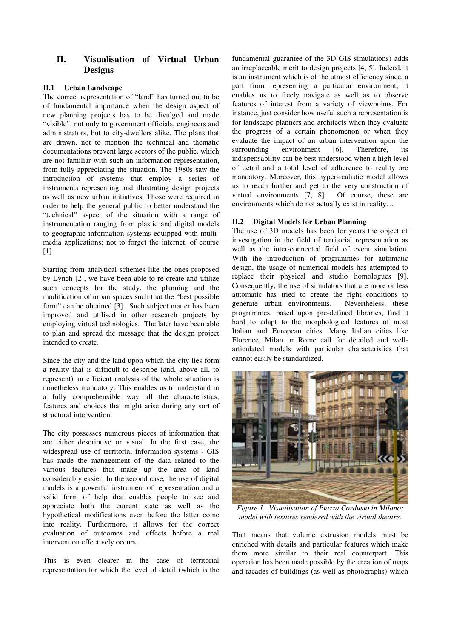### **II. Visualisation of Virtual Urban Designs**

#### **II.1 Urban Landscape**

The correct representation of "land" has turned out to be of fundamental importance when the design aspect of new planning projects has to be divulged and made "visible", not only to government officials, engineers and administrators, but to city-dwellers alike. The plans that are drawn, not to mention the technical and thematic documentations prevent large sectors of the public, which are not familiar with such an information representation, from fully appreciating the situation. The 1980s saw the introduction of systems that employ a series of instruments representing and illustrating design projects as well as new urban initiatives. Those were required in order to help the general public to better understand the "technical" aspect of the situation with a range of instrumentation ranging from plastic and digital models to geographic information systems equipped with multimedia applications; not to forget the internet, of course [1].

Starting from analytical schemes like the ones proposed by Lynch [2], we have been able to re-create and utilize such concepts for the study, the planning and the modification of urban spaces such that the "best possible form" can be obtained [3]. Such subject matter has been improved and utilised in other research projects by employing virtual technologies. The later have been able to plan and spread the message that the design project intended to create.

Since the city and the land upon which the city lies form a reality that is difficult to describe (and, above all, to represent) an efficient analysis of the whole situation is nonetheless mandatory. This enables us to understand in a fully comprehensible way all the characteristics, features and choices that might arise during any sort of structural intervention.

The city possesses numerous pieces of information that are either descriptive or visual. In the first case, the widespread use of territorial information systems - GIS has made the management of the data related to the various features that make up the area of land considerably easier. In the second case, the use of digital models is a powerful instrument of representation and a valid form of help that enables people to see and appreciate both the current state as well as the hypothetical modifications even before the latter come into reality. Furthermore, it allows for the correct evaluation of outcomes and effects before a real intervention effectively occurs.

This is even clearer in the case of territorial representation for which the level of detail (which is the fundamental guarantee of the 3D GIS simulations) adds an irreplaceable merit to design projects [4, 5]. Indeed, it is an instrument which is of the utmost efficiency since, a part from representing a particular environment; it enables us to freely navigate as well as to observe features of interest from a variety of viewpoints. For instance, just consider how useful such a representation is for landscape planners and architects when they evaluate the progress of a certain phenomenon or when they evaluate the impact of an urban intervention upon the surrounding environment [6]. Therefore, its indispensability can be best understood when a high level of detail and a total level of adherence to reality are mandatory. Moreover, this hyper-realistic model allows us to reach further and get to the very construction of virtual environments [7, 8]. Of course, these are environments which do not actually exist in reality…

#### **II.2 Digital Models for Urban Planning**

The use of 3D models has been for years the object of investigation in the field of territorial representation as well as the inter-connected field of event simulation. With the introduction of programmes for automatic design, the usage of numerical models has attempted to replace their physical and studio homologues [9]. Consequently, the use of simulators that are more or less automatic has tried to create the right conditions to generate urban environments. Nevertheless, these programmes, based upon pre-defined libraries, find it hard to adapt to the morphological features of most Italian and European cities. Many Italian cities like Florence, Milan or Rome call for detailed and wellarticulated models with particular characteristics that cannot easily be standardized.



*Figure 1. Visualisation of Piazza Cordusio in Milano; model with textures rendered with the virtual theatre.* 

That means that volume extrusion models must be enriched with details and particular features which make them more similar to their real counterpart. This operation has been made possible by the creation of maps and facades of buildings (as well as photographs) which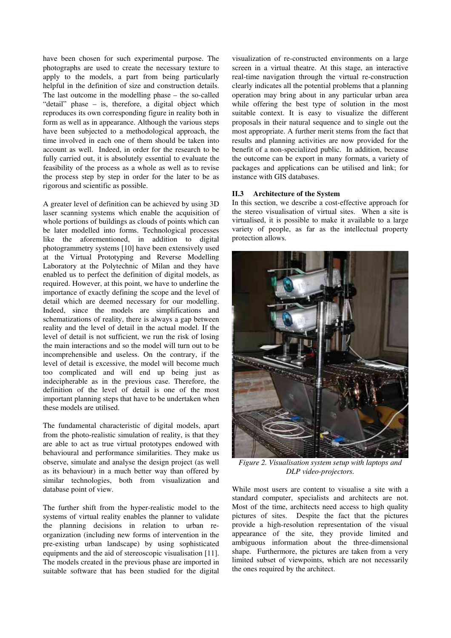have been chosen for such experimental purpose. The photographs are used to create the necessary texture to apply to the models, a part from being particularly helpful in the definition of size and construction details. The last outcome in the modelling phase – the so-called "detail" phase – is, therefore, a digital object which reproduces its own corresponding figure in reality both in form as well as in appearance. Although the various steps have been subjected to a methodological approach, the time involved in each one of them should be taken into account as well. Indeed, in order for the research to be fully carried out, it is absolutely essential to evaluate the feasibility of the process as a whole as well as to revise the process step by step in order for the later to be as rigorous and scientific as possible.

A greater level of definition can be achieved by using 3D laser scanning systems which enable the acquisition of whole portions of buildings as clouds of points which can be later modelled into forms. Technological processes like the aforementioned, in addition to digital photogrammetry systems [10] have been extensively used at the Virtual Prototyping and Reverse Modelling Laboratory at the Polytechnic of Milan and they have enabled us to perfect the definition of digital models, as required. However, at this point, we have to underline the importance of exactly defining the scope and the level of detail which are deemed necessary for our modelling. Indeed, since the models are simplifications and schematizations of reality, there is always a gap between reality and the level of detail in the actual model. If the level of detail is not sufficient, we run the risk of losing the main interactions and so the model will turn out to be incomprehensible and useless. On the contrary, if the level of detail is excessive, the model will become much too complicated and will end up being just as indecipherable as in the previous case. Therefore, the definition of the level of detail is one of the most important planning steps that have to be undertaken when these models are utilised.

The fundamental characteristic of digital models, apart from the photo-realistic simulation of reality, is that they are able to act as true virtual prototypes endowed with behavioural and performance similarities. They make us observe, simulate and analyse the design project (as well as its behaviour) in a much better way than offered by similar technologies, both from visualization and database point of view.

The further shift from the hyper-realistic model to the systems of virtual reality enables the planner to validate the planning decisions in relation to urban reorganization (including new forms of intervention in the pre-existing urban landscape) by using sophisticated equipments and the aid of stereoscopic visualisation [11]. The models created in the previous phase are imported in suitable software that has been studied for the digital

visualization of re-constructed environments on a large screen in a virtual theatre. At this stage, an interactive real-time navigation through the virtual re-construction clearly indicates all the potential problems that a planning operation may bring about in any particular urban area while offering the best type of solution in the most suitable context. It is easy to visualize the different proposals in their natural sequence and to single out the most appropriate. A further merit stems from the fact that results and planning activities are now provided for the benefit of a non-specialized public. In addition, because the outcome can be export in many formats, a variety of packages and applications can be utilised and link; for instance with GIS databases.

#### **II.3 Architecture of the System**

In this section, we describe a cost-effective approach for the stereo visualisation of virtual sites. When a site is virtualised, it is possible to make it available to a large variety of people, as far as the intellectual property protection allows.



*Figure 2. Visualisation system setup with laptops and DLP video-projectors.* 

While most users are content to visualise a site with a standard computer, specialists and architects are not. Most of the time, architects need access to high quality pictures of sites. Despite the fact that the pictures provide a high-resolution representation of the visual appearance of the site, they provide limited and ambiguous information about the three-dimensional shape. Furthermore, the pictures are taken from a very limited subset of viewpoints, which are not necessarily the ones required by the architect.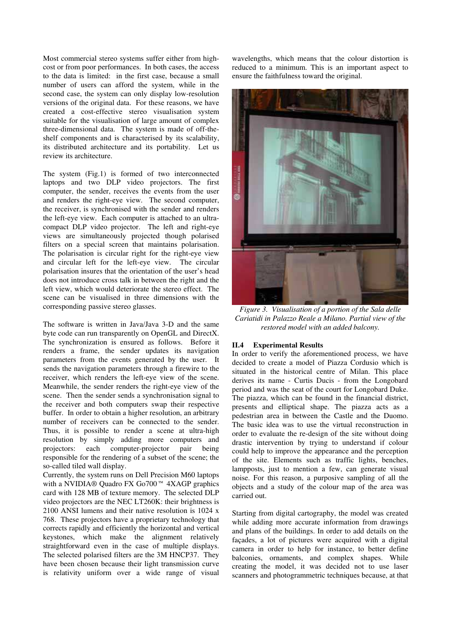Most commercial stereo systems suffer either from highcost or from poor performances. In both cases, the access to the data is limited: in the first case, because a small number of users can afford the system, while in the second case, the system can only display low-resolution versions of the original data. For these reasons, we have created a cost-effective stereo visualisation system suitable for the visualisation of large amount of complex three-dimensional data. The system is made of off-theshelf components and is characterised by its scalability, its distributed architecture and its portability. Let us review its architecture.

The system (Fig.1) is formed of two interconnected laptops and two DLP video projectors. The first computer, the sender, receives the events from the user and renders the right-eye view. The second computer, the receiver, is synchronised with the sender and renders the left-eye view. Each computer is attached to an ultracompact DLP video projector. The left and right-eye views are simultaneously projected though polarised filters on a special screen that maintains polarisation. The polarisation is circular right for the right-eye view and circular left for the left-eye view. The circular polarisation insures that the orientation of the user's head does not introduce cross talk in between the right and the left view, which would deteriorate the stereo effect. The scene can be visualised in three dimensions with the corresponding passive stereo glasses.

The software is written in Java/Java 3-D and the same byte code can run transparently on OpenGL and DirectX. The synchronization is ensured as follows. Before it renders a frame, the sender updates its navigation parameters from the events generated by the user. It sends the navigation parameters through a firewire to the receiver, which renders the left-eye view of the scene. Meanwhile, the sender renders the right-eye view of the scene. Then the sender sends a synchronisation signal to the receiver and both computers swap their respective buffer. In order to obtain a higher resolution, an arbitrary number of receivers can be connected to the sender. Thus, it is possible to render a scene at ultra-high resolution by simply adding more computers and projectors: each computer-projector pair being responsible for the rendering of a subset of the scene; the so-called tiled wall display.

Currently, the system runs on Dell Precision M60 laptops with a NVIDIA® Quadro FX Go700™ 4XAGP graphics card with 128 MB of texture memory. The selected DLP video projectors are the NEC LT260K: their brightness is 2100 ANSI lumens and their native resolution is 1024 x 768. These projectors have a proprietary technology that corrects rapidly and efficiently the horizontal and vertical keystones, which make the alignment relatively straightforward even in the case of multiple displays. The selected polarised filters are the 3M HNCP37. They have been chosen because their light transmission curve is relativity uniform over a wide range of visual wavelengths, which means that the colour distortion is reduced to a minimum. This is an important aspect to ensure the faithfulness toward the original.



*Figure 3. Visualisation of a portion of the Sala delle Cariatidi in Palazzo Reale a Milano. Partial view of the restored model with an added balcony.* 

#### **II.4 Experimental Results**

In order to verify the aforementioned process, we have decided to create a model of Piazza Cordusio which is situated in the historical centre of Milan. This place derives its name - Curtis Ducis - from the Longobard period and was the seat of the court for Longobard Duke. The piazza, which can be found in the financial district, presents and elliptical shape. The piazza acts as a pedestrian area in between the Castle and the Duomo. The basic idea was to use the virtual reconstruction in order to evaluate the re-design of the site without doing drastic intervention by trying to understand if colour could help to improve the appearance and the perception of the site. Elements such as traffic lights, benches, lampposts, just to mention a few, can generate visual noise. For this reason, a purposive sampling of all the objects and a study of the colour map of the area was carried out.

Starting from digital cartography, the model was created while adding more accurate information from drawings and plans of the buildings. In order to add details on the façades, a lot of pictures were acquired with a digital camera in order to help for instance, to better define balconies, ornaments, and complex shapes. While creating the model, it was decided not to use laser scanners and photogrammetric techniques because, at that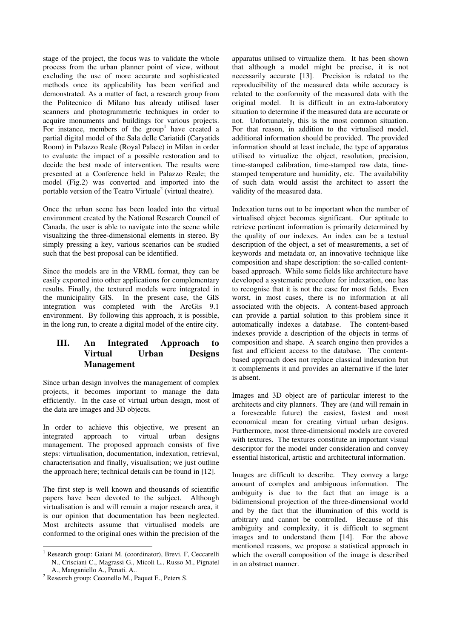stage of the project, the focus was to validate the whole process from the urban planner point of view, without excluding the use of more accurate and sophisticated methods once its applicability has been verified and demonstrated. As a matter of fact, a research group from the Politecnico di Milano has already utilised laser scanners and photogrammetric techniques in order to acquire monuments and buildings for various projects. For instance, members of the  $group<sup>1</sup>$  have created a partial digital model of the Sala delle Cariatidi (Caryatids Room) in Palazzo Reale (Royal Palace) in Milan in order to evaluate the impact of a possible restoration and to decide the best mode of intervention. The results were presented at a Conference held in Palazzo Reale; the model (Fig.2) was converted and imported into the portable version of the Teatro Virtuale<sup>2</sup> (virtual theatre).

Once the urban scene has been loaded into the virtual environment created by the National Research Council of Canada, the user is able to navigate into the scene while visualizing the three-dimensional elements in stereo. By simply pressing a key, various scenarios can be studied such that the best proposal can be identified.

Since the models are in the VRML format, they can be easily exported into other applications for complementary results. Finally, the textured models were integrated in the municipality GIS. In the present case, the GIS integration was completed with the ArcGis 9.1 environment. By following this approach, it is possible, in the long run, to create a digital model of the entire city.

## **III. An Integrated Approach to Virtual Urban Designs Management**

Since urban design involves the management of complex projects, it becomes important to manage the data efficiently. In the case of virtual urban design, most of the data are images and 3D objects.

In order to achieve this objective, we present an integrated approach to virtual urban designs management. The proposed approach consists of five steps: virtualisation, documentation, indexation, retrieval, characterisation and finally, visualisation; we just outline the approach here; technical details can be found in [12].

The first step is well known and thousands of scientific papers have been devoted to the subject. Although virtualisation is and will remain a major research area, it is our opinion that documentation has been neglected. Most architects assume that virtualised models are conformed to the original ones within the precision of the

apparatus utilised to virtualize them. It has been shown that although a model might be precise, it is not necessarily accurate [13]. Precision is related to the reproducibility of the measured data while accuracy is related to the conformity of the measured data with the original model. It is difficult in an extra-laboratory situation to determine if the measured data are accurate or not. Unfortunately, this is the most common situation. For that reason, in addition to the virtualised model, additional information should be provided. The provided information should at least include, the type of apparatus utilised to virtualize the object, resolution, precision, time-stamped calibration, time-stamped raw data, timestamped temperature and humidity, etc. The availability of such data would assist the architect to assert the validity of the measured data.

Indexation turns out to be important when the number of virtualised object becomes significant. Our aptitude to retrieve pertinent information is primarily determined by the quality of our indexes. An index can be a textual description of the object, a set of measurements, a set of keywords and metadata or, an innovative technique like composition and shape description: the so-called contentbased approach. While some fields like architecture have developed a systematic procedure for indexation, one has to recognise that it is not the case for most fields. Even worst, in most cases, there is no information at all associated with the objects. A content-based approach can provide a partial solution to this problem since it automatically indexes a database. The content-based indexes provide a description of the objects in terms of composition and shape. A search engine then provides a fast and efficient access to the database. The contentbased approach does not replace classical indexation but it complements it and provides an alternative if the later is absent.

Images and 3D object are of particular interest to the architects and city planners. They are (and will remain in a foreseeable future) the easiest, fastest and most economical mean for creating virtual urban designs. Furthermore, most three-dimensional models are covered with textures. The textures constitute an important visual descriptor for the model under consideration and convey essential historical, artistic and architectural information.

Images are difficult to describe. They convey a large amount of complex and ambiguous information. The ambiguity is due to the fact that an image is a bidimensional projection of the three-dimensional world and by the fact that the illumination of this world is arbitrary and cannot be controlled. Because of this ambiguity and complexity, it is difficult to segment images and to understand them [14]. For the above mentioned reasons, we propose a statistical approach in which the overall composition of the image is described in an abstract manner.

 1 Research group: Gaiani M. (coordinator), Brevi. F, Ceccarelli N., Crisciani C., Magrassi G., Micoli L., Russo M., Pignatel A., Manganiello A., Penati. A..

<sup>&</sup>lt;sup>2</sup> Research group: Ceconello M., Paquet E., Peters S.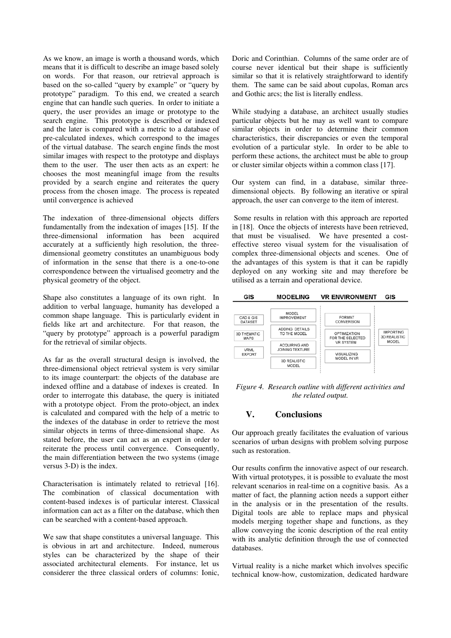As we know, an image is worth a thousand words, which means that it is difficult to describe an image based solely on words. For that reason, our retrieval approach is based on the so-called "query by example" or "query by prototype" paradigm. To this end, we created a search engine that can handle such queries. In order to initiate a query, the user provides an image or prototype to the search engine. This prototype is described or indexed and the later is compared with a metric to a database of pre-calculated indexes, which correspond to the images of the virtual database. The search engine finds the most similar images with respect to the prototype and displays them to the user. The user then acts as an expert: he chooses the most meaningful image from the results provided by a search engine and reiterates the query process from the chosen image. The process is repeated until convergence is achieved

The indexation of three-dimensional objects differs fundamentally from the indexation of images [15]. If the three-dimensional information has been acquired accurately at a sufficiently high resolution, the threedimensional geometry constitutes an unambiguous body of information in the sense that there is a one-to-one correspondence between the virtualised geometry and the physical geometry of the object.

Shape also constitutes a language of its own right. In addition to verbal language, humanity has developed a common shape language. This is particularly evident in fields like art and architecture. For that reason, the "query by prototype" approach is a powerful paradigm for the retrieval of similar objects.

As far as the overall structural design is involved, the three-dimensional object retrieval system is very similar to its image counterpart: the objects of the database are indexed offline and a database of indexes is created. In order to interrogate this database, the query is initiated with a prototype object. From the proto-object, an index is calculated and compared with the help of a metric to the indexes of the database in order to retrieve the most similar objects in terms of three-dimensional shape. As stated before, the user can act as an expert in order to reiterate the process until convergence. Consequently, the main differentiation between the two systems (image versus 3-D) is the index.

Characterisation is intimately related to retrieval [16]. The combination of classical documentation with content-based indexes is of particular interest. Classical information can act as a filter on the database, which then can be searched with a content-based approach.

We saw that shape constitutes a universal language. This is obvious in art and architecture. Indeed, numerous styles can be characterized by the shape of their associated architectural elements. For instance, let us considerer the three classical orders of columns: Ionic,

Doric and Corinthian. Columns of the same order are of course never identical but their shape is sufficiently similar so that it is relatively straightforward to identify them. The same can be said about cupolas, Roman arcs and Gothic arcs; the list is literally endless.

While studying a database, an architect usually studies particular objects but he may as well want to compare similar objects in order to determine their common characteristics, their discrepancies or even the temporal evolution of a particular style. In order to be able to perform these actions, the architect must be able to group or cluster similar objects within a common class [17].

Our system can find, in a database, similar threedimensional objects. By following an iterative or spiral approach, the user can converge to the item of interest.

 Some results in relation with this approach are reported in [18]. Once the objects of interests have been retrieved, that must be visualised. We have presented a costeffective stereo visual system for the visualisation of complex three-dimensional objects and scenes. One of the advantages of this system is that it can be rapidly deployed on any working site and may therefore be utilised as a terrain and operational device.



*Figure 4. Research outline with different activities and the related output.* 

#### **V. Conclusions**

Our approach greatly facilitates the evaluation of various scenarios of urban designs with problem solving purpose such as restoration.

Our results confirm the innovative aspect of our research. With virtual prototypes, it is possible to evaluate the most relevant scenarios in real-time on a cognitive basis. As a matter of fact, the planning action needs a support either in the analysis or in the presentation of the results. Digital tools are able to replace maps and physical models merging together shape and functions, as they allow conveying the iconic description of the real entity with its analytic definition through the use of connected databases.

Virtual reality is a niche market which involves specific technical know-how, customization, dedicated hardware